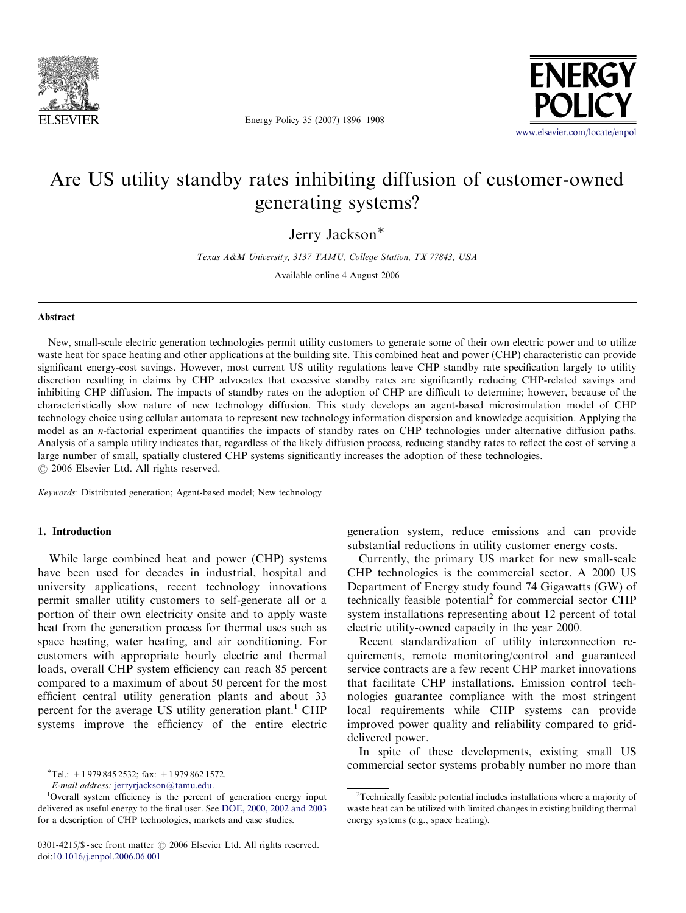

Energy Policy 35 (2007) 1896–1908



## Are US utility standby rates inhibiting diffusion of customer-owned generating systems?

Jerry Jackson<sup>\*</sup>

Texas A&M University, 3137 TAMU, College Station, TX 77843, USA

Available online 4 August 2006

## Abstract

New, small-scale electric generation technologies permit utility customers to generate some of their own electric power and to utilize waste heat for space heating and other applications at the building site. This combined heat and power (CHP) characteristic can provide significant energy-cost savings. However, most current US utility regulations leave CHP standby rate specification largely to utility discretion resulting in claims by CHP advocates that excessive standby rates are significantly reducing CHP-related savings and inhibiting CHP diffusion. The impacts of standby rates on the adoption of CHP are difficult to determine; however, because of the characteristically slow nature of new technology diffusion. This study develops an agent-based microsimulation model of CHP technology choice using cellular automata to represent new technology information dispersion and knowledge acquisition. Applying the model as an *n*-factorial experiment quantifies the impacts of standby rates on CHP technologies under alternative diffusion paths. Analysis of a sample utility indicates that, regardless of the likely diffusion process, reducing standby rates to reflect the cost of serving a large number of small, spatially clustered CHP systems significantly increases the adoption of these technologies.  $\odot$  2006 Elsevier Ltd. All rights reserved.

Keywords: Distributed generation; Agent-based model; New technology

## 1. Introduction

While large combined heat and power (CHP) systems have been used for decades in industrial, hospital and university applications, recent technology innovations permit smaller utility customers to self-generate all or a portion of their own electricity onsite and to apply waste heat from the generation process for thermal uses such as space heating, water heating, and air conditioning. For customers with appropriate hourly electric and thermal loads, overall CHP system efficiency can reach 85 percent compared to a maximum of about 50 percent for the most efficient central utility generation plants and about 33 percent for the average US utility generation plant.<sup>1</sup> CHP systems improve the efficiency of the entire electric generation system, reduce emissions and can provide substantial reductions in utility customer energy costs.

Currently, the primary US market for new small-scale CHP technologies is the commercial sector. A 2000 US Department of Energy study found 74 Gigawatts (GW) of technically feasible potential<sup>2</sup> for commercial sector CHP system installations representing about 12 percent of total electric utility-owned capacity in the year 2000.

Recent standardization of utility interconnection requirements, remote monitoring/control and guaranteed service contracts are a few recent CHP market innovations that facilitate CHP installations. Emission control technologies guarantee compliance with the most stringent local requirements while CHP systems can provide improved power quality and reliability compared to griddelivered power.

In spite of these developments, existing small US commercial sector systems probably number no more than

 $\overline{\text{F}T}$ el.: +1 979 845 2532; fax: +1 979 862 1572.

E-mail address: [jerryrjackson@tamu.edu.](mailto:jerryrjackson@tamu.edu)

<sup>&</sup>lt;sup>1</sup>Overall system efficiency is the percent of generation energy input delivered as useful energy to the final user. See [DOE, 2000, 2002 and 2003](#page--1-0) for a description of CHP technologies, markets and case studies.

<sup>0301-4215/\$ -</sup> see front matter  $\odot$  2006 Elsevier Ltd. All rights reserved. doi:[10.1016/j.enpol.2006.06.001](dx.doi.org/10.1016/j.enpol.2006.06.001)

<sup>&</sup>lt;sup>2</sup>Technically feasible potential includes installations where a majority of waste heat can be utilized with limited changes in existing building thermal energy systems (e.g., space heating).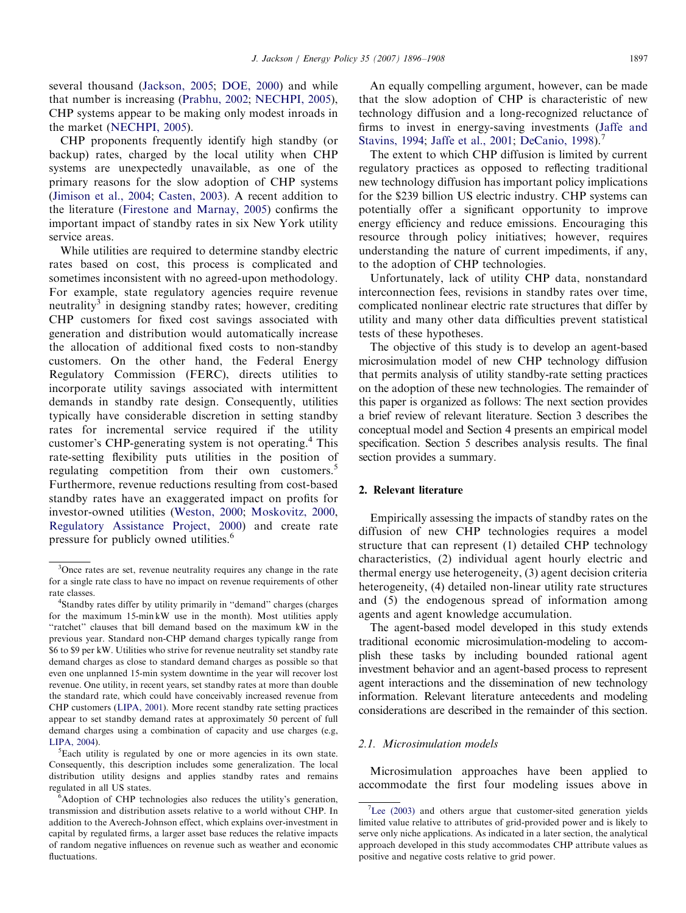several thousand ([Jackson, 2005](#page--1-0); [DOE, 2000\)](#page--1-0) and while that number is increasing [\(Prabhu, 2002;](#page--1-0) [NECHPI, 2005\)](#page--1-0), CHP systems appear to be making only modest inroads in the market ([NECHPI, 2005](#page--1-0)).

CHP proponents frequently identify high standby (or backup) rates, charged by the local utility when CHP systems are unexpectedly unavailable, as one of the primary reasons for the slow adoption of CHP systems ([Jimison et al., 2004](#page--1-0); [Casten, 2003\)](#page--1-0). A recent addition to the literature [\(Firestone and Marnay, 2005\)](#page--1-0) confirms the important impact of standby rates in six New York utility service areas.

While utilities are required to determine standby electric rates based on cost, this process is complicated and sometimes inconsistent with no agreed-upon methodology. For example, state regulatory agencies require revenue neutrality<sup>3</sup> in designing standby rates; however, crediting CHP customers for fixed cost savings associated with generation and distribution would automatically increase the allocation of additional fixed costs to non-standby customers. On the other hand, the Federal Energy Regulatory Commission (FERC), directs utilities to incorporate utility savings associated with intermittent demands in standby rate design. Consequently, utilities typically have considerable discretion in setting standby rates for incremental service required if the utility customer's CHP-generating system is not operating.<sup>4</sup> This rate-setting flexibility puts utilities in the position of regulating competition from their own customers.<sup>5</sup> Furthermore, revenue reductions resulting from cost-based standby rates have an exaggerated impact on profits for investor-owned utilities [\(Weston, 2000;](#page--1-0) [Moskovitz, 2000,](#page--1-0) [Regulatory Assistance Project, 2000](#page--1-0)) and create rate pressure for publicly owned utilities.<sup>6</sup>

An equally compelling argument, however, can be made that the slow adoption of CHP is characteristic of new technology diffusion and a long-recognized reluctance of firms to invest in energy-saving investments [\(Jaffe and](#page--1-0) [Stavins, 1994](#page--1-0); [Jaffe et al., 2001](#page--1-0); [DeCanio, 1998\)](#page--1-0).<sup>7</sup>

The extent to which CHP diffusion is limited by current regulatory practices as opposed to reflecting traditional new technology diffusion has important policy implications for the \$239 billion US electric industry. CHP systems can potentially offer a significant opportunity to improve energy efficiency and reduce emissions. Encouraging this resource through policy initiatives; however, requires understanding the nature of current impediments, if any, to the adoption of CHP technologies.

Unfortunately, lack of utility CHP data, nonstandard interconnection fees, revisions in standby rates over time, complicated nonlinear electric rate structures that differ by utility and many other data difficulties prevent statistical tests of these hypotheses.

The objective of this study is to develop an agent-based microsimulation model of new CHP technology diffusion that permits analysis of utility standby-rate setting practices on the adoption of these new technologies. The remainder of this paper is organized as follows: The next section provides a brief review of relevant literature. Section 3 describes the conceptual model and Section 4 presents an empirical model specification. Section 5 describes analysis results. The final section provides a summary.

#### 2. Relevant literature

Empirically assessing the impacts of standby rates on the diffusion of new CHP technologies requires a model structure that can represent (1) detailed CHP technology characteristics, (2) individual agent hourly electric and thermal energy use heterogeneity, (3) agent decision criteria heterogeneity, (4) detailed non-linear utility rate structures and (5) the endogenous spread of information among agents and agent knowledge accumulation.

The agent-based model developed in this study extends traditional economic microsimulation-modeling to accomplish these tasks by including bounded rational agent investment behavior and an agent-based process to represent agent interactions and the dissemination of new technology information. Relevant literature antecedents and modeling considerations are described in the remainder of this section.

#### 2.1. Microsimulation models

Microsimulation approaches have been applied to accommodate the first four modeling issues above in

<sup>&</sup>lt;sup>3</sup>Once rates are set, revenue neutrality requires any change in the rate for a single rate class to have no impact on revenue requirements of other rate classes. <sup>4</sup>

<sup>&</sup>lt;sup>4</sup>Standby rates differ by utility primarily in "demand" charges (charges for the maximum 15-min kW use in the month). Most utilities apply ''ratchet'' clauses that bill demand based on the maximum kW in the previous year. Standard non-CHP demand charges typically range from \$6 to \$9 per kW. Utilities who strive for revenue neutrality set standby rate demand charges as close to standard demand charges as possible so that even one unplanned 15-min system downtime in the year will recover lost revenue. One utility, in recent years, set standby rates at more than double the standard rate, which could have conceivably increased revenue from CHP customers ([LIPA, 2001\)](#page--1-0). More recent standby rate setting practices appear to set standby demand rates at approximately 50 percent of full demand charges using a combination of capacity and use charges (e.g, [LIPA, 2004](#page--1-0)).

Each utility is regulated by one or more agencies in its own state. Consequently, this description includes some generalization. The local distribution utility designs and applies standby rates and remains regulated in all US states.

<sup>&</sup>lt;sup>6</sup>Adoption of CHP technologies also reduces the utility's generation, transmission and distribution assets relative to a world without CHP. In addition to the Averech-Johnson effect, which explains over-investment in capital by regulated firms, a larger asset base reduces the relative impacts of random negative influences on revenue such as weather and economic fluctuations.

 $7$ [Lee \(2003\)](#page--1-0) and others argue that customer-sited generation yields limited value relative to attributes of grid-provided power and is likely to serve only niche applications. As indicated in a later section, the analytical approach developed in this study accommodates CHP attribute values as positive and negative costs relative to grid power.